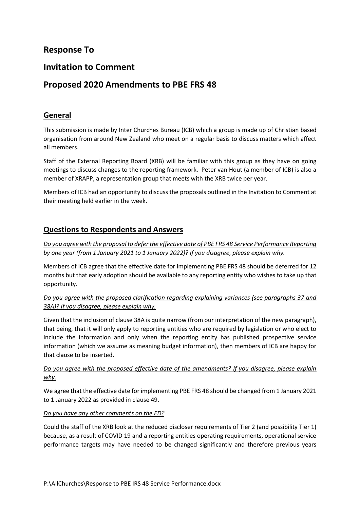# **Response To**

## **Invitation to Comment**

# **Proposed 2020 Amendments to PBE FRS 48**

### **General**

This submission is made by Inter Churches Bureau (ICB) which a group is made up of Christian based organisation from around New Zealand who meet on a regular basis to discuss matters which affect all members.

Staff of the External Reporting Board (XRB) will be familiar with this group as they have on going meetings to discuss changes to the reporting framework. Peter van Hout (a member of ICB) is also a member of XRAPP, a representation group that meets with the XRB twice per year.

Members of ICB had an opportunity to discuss the proposals outlined in the Invitation to Comment at their meeting held earlier in the week.

### **Questions to Respondents and Answers**

*Do you agree with the proposal to defer the effective date of PBE FRS 48 Service Performance Reporting by one year (from 1 January 2021 to 1 January 2022)? If you disagree, please explain why.*

Members of ICB agree that the effective date for implementing PBE FRS 48 should be deferred for 12 months but that early adoption should be available to any reporting entity who wishes to take up that opportunity.

### *Do you agree with the proposed clarification regarding explaining variances (see paragraphs 37 and 38A)? If you disagree, please explain why.*

Given that the inclusion of clause 38A is quite narrow (from our interpretation of the new paragraph), that being, that it will only apply to reporting entities who are required by legislation or who elect to include the information and only when the reporting entity has published prospective service information (which we assume as meaning budget information), then members of ICB are happy for that clause to be inserted.

### *Do you agree with the proposed effective date of the amendments? If you disagree, please explain why.*

We agree that the effective date for implementing PBE FRS 48 should be changed from 1 January 2021 to 1 January 2022 as provided in clause 49.

#### *Do you have any other comments on the ED?*

Could the staff of the XRB look at the reduced discloser requirements of Tier 2 (and possibility Tier 1) because, as a result of COVID 19 and a reporting entities operating requirements, operational service performance targets may have needed to be changed significantly and therefore previous years